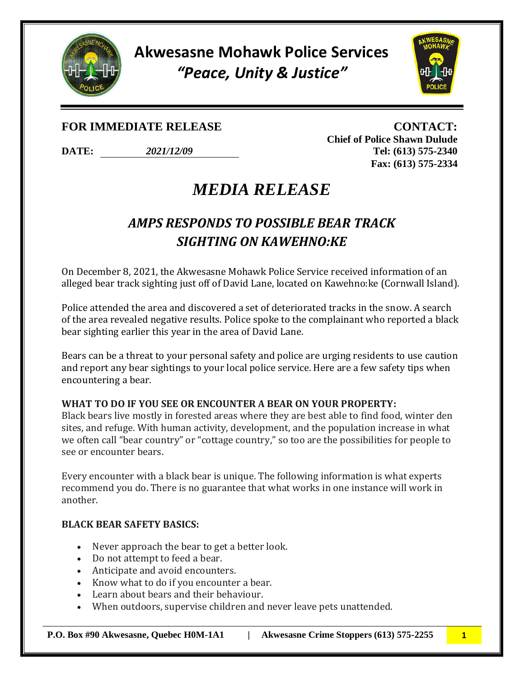

**Akwesasne Mohawk Police Services** *"Peace, Unity & Justice"*



### **FOR IMMEDIATE RELEASE CONTACT:**

**DATE:** *2021/12/09* **Tel: (613) 575-2340**

**Chief of Police Shawn Dulude Fax: (613) 575-2334**

## *MEDIA RELEASE*

### *AMPS RESPONDS TO POSSIBLE BEAR TRACK SIGHTING ON KAWEHNO:KE*

On December 8, 2021, the Akwesasne Mohawk Police Service received information of an alleged bear track sighting just off of David Lane, located on Kawehno:ke (Cornwall Island).

Police attended the area and discovered a set of deteriorated tracks in the snow. A search of the area revealed negative results. Police spoke to the complainant who reported a black bear sighting earlier this year in the area of David Lane.

Bears can be a threat to your personal safety and police are urging residents to use caution and report any bear sightings to your local police service. Here are a few safety tips when encountering a bear.

#### **WHAT TO DO IF YOU SEE OR ENCOUNTER A BEAR ON YOUR PROPERTY:**

Black bears live mostly in forested areas where they are best able to find food, winter den sites, and refuge. With human activity, development, and the population increase in what we often call "bear country" or "cottage country," so too are the possibilities for people to see or encounter bears.

Every encounter with a black bear is unique. The following information is what experts recommend you do. There is no guarantee that what works in one instance will work in another.

#### **BLACK BEAR SAFETY BASICS:**

- Never approach the bear to get a better look.
- Do not attempt to feed a bear.
- Anticipate and avoid encounters.
- Know what to do if you encounter a bear.
- Learn about bears and their behaviour.
- When outdoors, supervise children and never leave pets unattended.